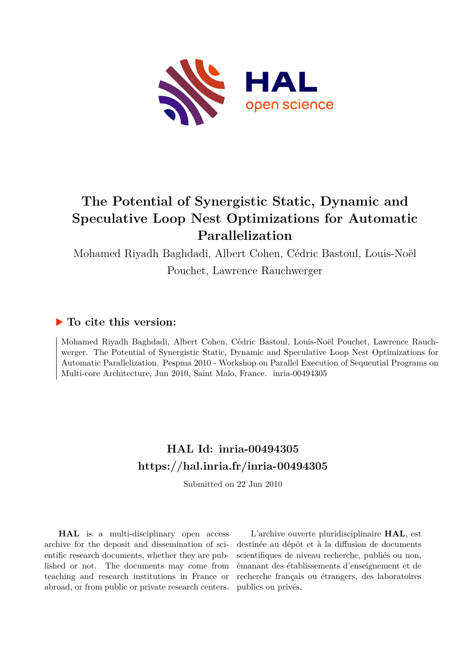

# **The Potential of Synergistic Static, Dynamic and Speculative Loop Nest Optimizations for Automatic Parallelization**

Mohamed Riyadh Baghdadi, Albert Cohen, Cédric Bastoul, Louis-Noël

Pouchet, Lawrence Rauchwerger

## **To cite this version:**

Mohamed Riyadh Baghdadi, Albert Cohen, Cédric Bastoul, Louis-Noël Pouchet, Lawrence Rauchwerger. The Potential of Synergistic Static, Dynamic and Speculative Loop Nest Optimizations for Automatic Parallelization. Pespma 2010 - Workshop on Parallel Execution of Sequential Programs on Multi-core Architecture, Jun 2010, Saint Malo, France. inria-00494305

# **HAL Id: inria-00494305 <https://hal.inria.fr/inria-00494305>**

Submitted on 22 Jun 2010

**HAL** is a multi-disciplinary open access archive for the deposit and dissemination of scientific research documents, whether they are published or not. The documents may come from teaching and research institutions in France or abroad, or from public or private research centers.

L'archive ouverte pluridisciplinaire **HAL**, est destinée au dépôt et à la diffusion de documents scientifiques de niveau recherche, publiés ou non, émanant des établissements d'enseignement et de recherche français ou étrangers, des laboratoires publics ou privés.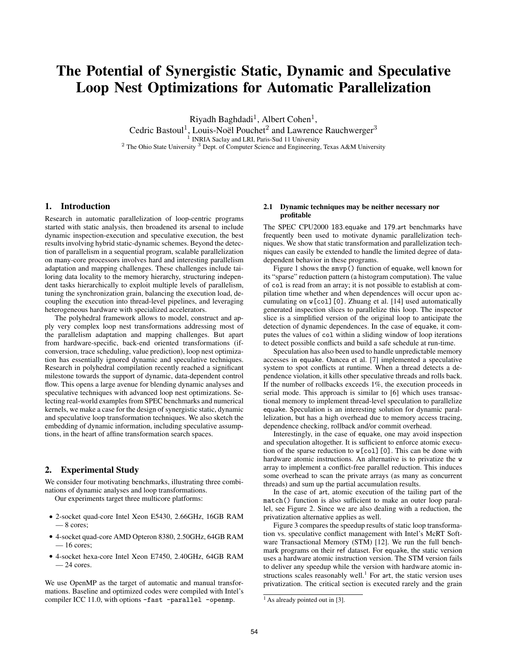# The Potential of Synergistic Static, Dynamic and Speculative Loop Nest Optimizations for Automatic Parallelization

Riyadh Baghdadi<sup>1</sup>, Albert Cohen<sup>1</sup>, Cedric Bastoul<sup>1</sup>, Louis-Noël Pouchet<sup>2</sup> and Lawrence Rauchwerger<sup>3</sup> <sup>1</sup> INRIA Saclay and LRI, Paris-Sud 11 University <sup>2</sup> The Ohio State University <sup>3</sup> Dept. of Computer Science and Engineering, Texas A&M University

### 1. Introduction

Research in automatic parallelization of loop-centric programs started with static analysis, then broadened its arsenal to include dynamic inspection-execution and speculative execution, the best results involving hybrid static-dynamic schemes. Beyond the detection of parallelism in a sequential program, scalable parallelization on many-core processors involves hard and interesting parallelism adaptation and mapping challenges. These challenges include tailoring data locality to the memory hierarchy, structuring independent tasks hierarchically to exploit multiple levels of parallelism, tuning the synchronization grain, balancing the execution load, decoupling the execution into thread-level pipelines, and leveraging heterogeneous hardware with specialized accelerators.

The polyhedral framework allows to model, construct and apply very complex loop nest transformations addressing most of the parallelism adaptation and mapping challenges. But apart from hardware-specific, back-end oriented transformations (ifconversion, trace scheduling, value prediction), loop nest optimization has essentially ignored dynamic and speculative techniques. Research in polyhedral compilation recently reached a significant milestone towards the support of dynamic, data-dependent control flow. This opens a large avenue for blending dynamic analyses and speculative techniques with advanced loop nest optimizations. Selecting real-world examples from SPEC benchmarks and numerical kernels, we make a case for the design of synergistic static, dynamic and speculative loop transformation techniques. We also sketch the embedding of dynamic information, including speculative assumptions, in the heart of affine transformation search spaces.

### 2. Experimental Study

We consider four motivating benchmarks, illustrating three combinations of dynamic analyses and loop transformations.

Our experiments target three multicore platforms:

- 2-socket quad-core Intel Xeon E5430, 2.66GHz, 16GB RAM  $-8$  cores;
- 4-socket quad-core AMD Opteron 8380, 2.50GHz, 64GB RAM  $-16$  cores;
- 4-socket hexa-core Intel Xeon E7450, 2.40GHz, 64GB RAM  $-24$  cores.

We use OpenMP as the target of automatic and manual transformations. Baseline and optimized codes were compiled with Intel's compiler ICC 11.0, with options -fast -parallel -openmp.

#### 2.1 Dynamic techniques may be neither necessary nor profitable

The SPEC CPU2000 183.equake and 179.art benchmarks have frequently been used to motivate dynamic parallelization techniques. We show that static transformation and parallelization techniques can easily be extended to handle the limited degree of datadependent behavior in these programs.

Figure 1 shows the smvp() function of equake, well known for its "sparse" reduction pattern (a histogram computation). The value of col is read from an array; it is not possible to establish at compilation time whether and when dependences will occur upon accumulating on w[col][0]. Zhuang et al. [14] used automatically generated inspection slices to parallelize this loop. The inspector slice is a simplified version of the original loop to anticipate the detection of dynamic dependences. In the case of equake, it computes the values of col within a sliding window of loop iterations to detect possible conflicts and build a safe schedule at run-time.

Speculation has also been used to handle unpredictable memory accesses in equake. Oancea et al. [7] implemented a speculative system to spot conflicts at runtime. When a thread detects a dependence violation, it kills other speculative threads and rolls back. If the number of rollbacks exceeds 1%, the execution proceeds in serial mode. This approach is similar to [6] which uses transactional memory to implement thread-level speculation to parallelize equake. Speculation is an interesting solution for dynamic parallelization, but has a high overhead due to memory access tracing, dependence checking, rollback and/or commit overhead.

Interestingly, in the case of equake, one may avoid inspection and speculation altogether. It is sufficient to enforce atomic execution of the sparse reduction to w[col][0]. This can be done with hardware atomic instructions. An alternative is to privatize the w array to implement a conflict-free parallel reduction. This induces some overhead to scan the private arrays (as many as concurrent threads) and sum up the partial accumulation results.

In the case of art, atomic execution of the tailing part of the match() function is also sufficient to make an outer loop parallel, see Figure 2. Since we are also dealing with a reduction, the privatization alternative applies as well.

Figure 3 compares the speedup results of static loop transformation vs. speculative conflict management with Intel's McRT Software Transactional Memory (STM) [12]. We run the full benchmark programs on their ref dataset. For equake, the static version uses a hardware atomic instruction version. The STM version fails to deliver any speedup while the version with hardware atomic instructions scales reasonably well.<sup>1</sup> For art, the static version uses privatization. The critical section is executed rarely and the grain

<sup>&</sup>lt;sup>1</sup> As already pointed out in [3].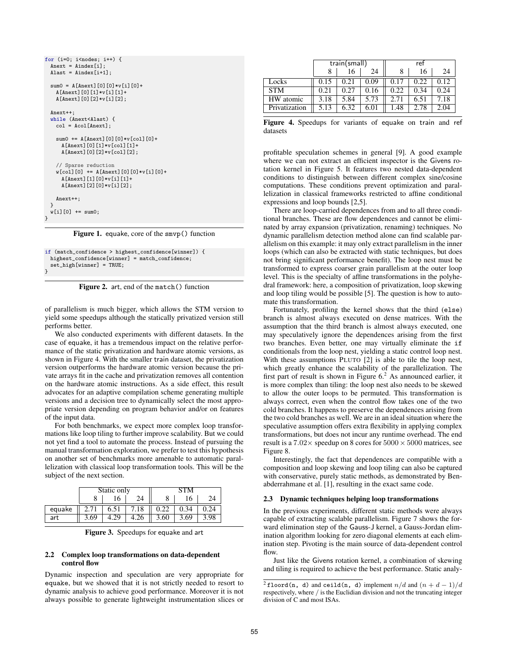| for $(i=0; i \le nodes; i++)$ {            |
|--------------------------------------------|
| $Anext = Aindex[i];$                       |
| Alast = $Aindex[i+1]$ ;                    |
|                                            |
| sum0 = A[Anext][0][0]*v[i][0]+             |
|                                            |
| $A[Anext] [0] [1]*v[i] [1]+$               |
| A[Anext][0][2]*v[i][2];                    |
|                                            |
| Anext++;                                   |
| while (Anext <alast) td="" {<=""></alast)> |
| $col = Acol[Anext];$                       |
|                                            |
| sum0 += $A[Anext][0][0][0]*v[col][0]+$     |
|                                            |
| $A[Anext] [0] [1]*v[col] [1]+$             |
| $A[Anext] [0] [2]*v[col] [2];$             |
|                                            |
| // Sparse reduction                        |
| $w[col][0]$ += A[Anext][0][0]* $v[i][0]$ + |
| $A[Anext] [1] [0]*v[i] [1]+$               |
| $A[Anext] [2] [0]*v[i] [2];$               |
|                                            |
|                                            |
| Anext++;                                   |
| ł                                          |
| $w[i][0] += sum0;$                         |
| ł                                          |
|                                            |

Figure 1. equake, core of the smvp() function

```
if (match_confidence > highest_confidence[winner]) {
 highest_confidence[winner] = match_confidence;
 set_high[winner] = TRUE;
}
```
Figure 2. art, end of the match() function

of parallelism is much bigger, which allows the STM version to yield some speedups although the statically privatized version still performs better.

We also conducted experiments with different datasets. In the case of equake, it has a tremendous impact on the relative performance of the static privatization and hardware atomic versions, as shown in Figure 4. With the smaller train dataset, the privatization version outperforms the hardware atomic version because the private arrays fit in the cache and privatization removes all contention on the hardware atomic instructions. As a side effect, this result advocates for an adaptive compilation scheme generating multiple versions and a decision tree to dynamically select the most appropriate version depending on program behavior and/or on features of the input data.

For both benchmarks, we expect more complex loop transformations like loop tiling to further improve scalability. But we could not yet find a tool to automate the process. Instead of pursuing the manual transformation exploration, we prefer to test this hypothesis on another set of benchmarks more amenable to automatic parallelization with classical loop transformation tools. This will be the subject of the next section.

|        | Static only |      |     | ГМ   |      |      |
|--------|-------------|------|-----|------|------|------|
|        |             |      |     | O    |      | 24   |
| equake |             | 6.51 | .18 |      | 0.34 | .24  |
| art    | 3.69        |      |     | 3.60 | 3.69 | 3.98 |

#### 2.2 Complex loop transformations on data-dependent control flow

Dynamic inspection and speculation are very appropriate for equake, but we showed that it is not strictly needed to resort to dynamic analysis to achieve good performance. Moreover it is not always possible to generate lightweight instrumentation slices or

|               | train(small) |      |      | ref  |      |      |
|---------------|--------------|------|------|------|------|------|
|               |              | 16   | 24   |      | 16   | 24   |
| Locks         | 0.15         | 0.21 | 0.09 | 0.17 | 0.22 | 0.12 |
| <b>STM</b>    | 0.21         | 0.27 | 0.16 | 0.22 | 0.34 | 0.24 |
| HW atomic     | 3.18         | 5.84 | 5.73 | 2.71 | 6.51 | 7.18 |
| Privatization | 5.13         | 6.32 | 6.01 | 1.48 | 2.78 | 2.04 |

Figure 4. Speedups for variants of equake on train and ref datasets

profitable speculation schemes in general [9]. A good example where we can not extract an efficient inspector is the Givens rotation kernel in Figure 5. It features two nested data-dependent conditions to distinguish between different complex sine/cosine computations. These conditions prevent optimization and parallelization in classical frameworks restricted to affine conditional expressions and loop bounds [2,5].

There are loop-carried dependences from and to all three conditional branches. These are flow dependences and cannot be eliminated by array expansion (privatization, renaming) techniques. No dynamic parallelism detection method alone can find scalable parallelism on this example: it may only extract parallelism in the inner loops (which can also be extracted with static techniques, but does not bring significant performance benefit). The loop nest must be transformed to express coarser grain parallelism at the outer loop level. This is the specialty of affine transformations in the polyhedral framework: here, a composition of privatization, loop skewing and loop tiling would be possible [5]. The question is how to automate this transformation.

Fortunately, profiling the kernel shows that the third (else) branch is almost always executed on dense matrices. With the assumption that the third branch is almost always executed, one may speculatively ignore the dependences arising from the first two branches. Even better, one may virtually eliminate the if conditionals from the loop nest, yielding a static control loop nest. With these assumptions PLUTO [2] is able to tile the loop nest, which greatly enhance the scalability of the parallelization. The first part of result is shown in Figure  $6<sup>2</sup>$ . As announced earlier, it is more complex than tiling: the loop nest also needs to be skewed to allow the outer loops to be permuted. This transformation is always correct, even when the control flow takes one of the two cold branches. It happens to preserve the dependences arising from the two cold branches as well. We are in an ideal situation where the speculative assumption offers extra flexibility in applying complex transformations, but does not incur any runtime overhead. The end result is a  $7.02 \times$  speedup on 8 cores for  $5000 \times 5000$  matrices, see Figure 8.

Interestingly, the fact that dependences are compatible with a composition and loop skewing and loop tiling can also be captured with conservative, purely static methods, as demonstrated by Benabderrahmane et al. [1], resulting in the exact same code.

#### 2.3 Dynamic techniques helping loop transformations

In the previous experiments, different static methods were always capable of extracting scalable parallelism. Figure 7 shows the forward elimination step of the Gauss-J kernel, a Gauss-Jordan elimination algorithm looking for zero diagonal elements at each elimination step. Pivoting is the main source of data-dependent control flow.

Just like the Givens rotation kernel, a combination of skewing and tiling is required to achieve the best performance. Static analy-

 $^{2}$ floord(n, d) and ceild(n, d) implement  $n/d$  and  $(n + d - 1)/d$ respectively, where / is the Euclidian division and not the truncating integer division of C and most ISAs.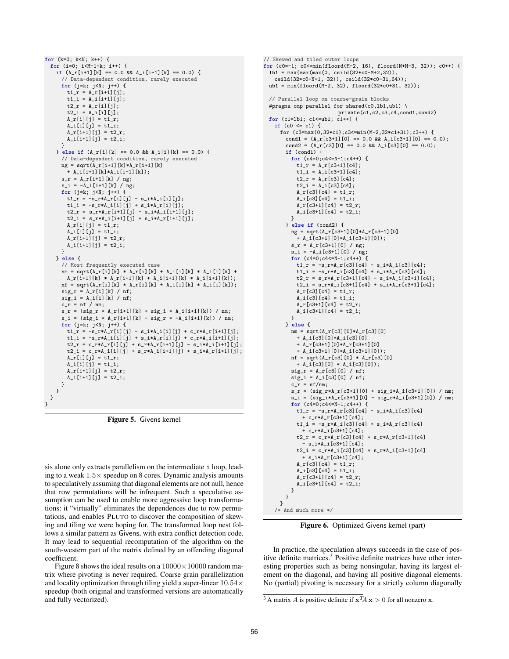for  $(k=0; k< N; k++)$  { for (i=0; i<M-1-k; i++) { if  $(A_r[i+1][k] == 0.0$  &&  $A_i[i+1][k] == 0.0$  { // Data-dependent condition, rarely executed for  $(j=k; j\le N; j++)$  {  $t1_r = A_r[i+1][j];$  $t1_i = A_i[i+1][i];$  $t2_r = A_r[i][i];$  $t2_i = A_i[i][j];$ A\_r[i][j] = t1\_r; A\_i[i][j] = t1\_i;  $A_r[i+1][j] = t2_r;$  $A_i[i+1][j] = t2_i;$ } } else if (A\_r[i][k] == 0.0 && A\_i[i][k] == 0.0) { // Data-dependent condition, rarely executed ng = sqrt(A\_r[i+1][k]\*A\_r[i+1][k] + A\_i[i+1][k]\*A\_i[i+1][k]); s\_r = A\_r[i+1][k] / ng;  $s_i = -A_i[i+1][k] / ng;$ for (j=k; j<N; j++) {  $t1_r = -s_r * A_r[i][j] - s_i * A_i[i][j];$  $t1_i = -s_r * A_i[i][j] + s_i * A_r[i][j];$  $t2_r = s_r * A_r[i+1][j] - s_i * A_i[i+1][j];$  $t2_i = s_r * A_i[i+1][j] + s_i * A_r[i+1][j];$ A\_r[i][j] = t1\_r; A\_i[i][j] = t1\_i;  $A_r[i+1][j] = t2_r;$  $A_i[i+1][j] = t2_i;$ } } else { // Most frequently executed case nm = sqrt(A\_r[i][k] \* A\_r[i][k] + A\_i[i][k] \* A\_i[i][k] +  $\mathtt{A\_r[i+1][k] \ * \ A\_r[i+1][k] \ + \ A\_i[i+1][k] \ * \ A\_i[i+1][k])} \, ;$  $nf = sqrt(A_r[i][k] * A_r[i][k] + A_i[i][k] * A_i[i][k])$ ;  $sig_r = A_r[i][k] / nf;$  $sig_i = A_i[i][k] / nf;$  $c_r = nf / nm;$  $s_r = (sig_r * A_r[i+1][k] + sig_i * A_i[i+1][k]) / nm;$  $s_i = (sig_i * A_r[i+1][k] - sig_r * -A_i[i+1][k]) / nm;$ for (j=k; j<N; j++) {  $t1_r = -s_r * A_r[i][j] - s_i * A_i[i][j] + c_r * A_r[i+1][j];$  $t1_i = -s_r * A_i[i][j] + s_i * A_r[i][j] + c_r * A_i[i+1][j];$  $t2_r = c_r * A_r[i][j] + s_r * A_r[i+1][j] - s_i * A_i[i+1][j];$  $t2_i = c_r * A_i[i][j] + s_r * A_i[i+1][j] + s_i * A_r[i+1][j];$  $A_r[i][j] = t1_r;$  $A_i[i][j] = t1_i;$  $A_r[i+1][j] = t2_r;$  $A_i[i+1][j] = t2_i;$ } } } }

Figure 5. Givens kernel

sis alone only extracts parallelism on the intermediate i loop, leading to a weak 1.5× speedup on 8 cores. Dynamic analysis amounts to speculatively assuming that diagonal elements are not null, hence that row permutations will be infrequent. Such a speculative assumption can be used to enable more aggressive loop transformations: it "virtually" eliminates the dependences due to row permutations, and enables PLUTO to discover the composition of skewing and tiling we were hoping for. The transformed loop nest follows a similar pattern as Givens, with extra conflict detection code. It may lead to sequential recomputation of the algorithm on the south-western part of the matrix defined by an offending diagonal coefficient.

Figure 8 shows the ideal results on a  $10000 \times 10000$  random matrix where pivoting is never required. Coarse grain parallelization and locality optimization through tiling yield a super-linear  $10.54\times$ speedup (both original and transformed versions are automatically and fully vectorized).

```
// Skewed and tiled outer loops
for (c0=-1; c0<=min(floord(M-2, 16), floord(N+M-3, 32)); c0++) {
  lb1 = max(max(max(0, ceild(32*c0-M+2,32)),
   ceild(32*c0-N+1, 32)), ceild(32*c0-31,64));
  ub1 = min(floord(M-2, 32), floord(32*c0+31, 32));
  // Parallel loop on coarse-grain blocks
  #pragma omp parallel for shared(c0,lb1,ub1) \
                          private(c1,c2,c3,c4,cond1,cond2)
  for (c1=lb1; c1<=ub1; c1++) {
    if (c0 \le c1) {
      for (c3=max(0,32*c1);c3<=min(M-2,32*c1+31);c3++) {
        cond1 = (A_r[c3+1][0] == 0.0 \& A_i[c3+1][0] == 0.0);<br>cond2 = (A_r[c3][0] == 0.0 \& A_i[c3][0] == 0.0);if (cond1) {
          for (c4=0;c4<=N-1;c4++) {
           t1 r = A r[c3+1][c4];t1_i = A_i[c3+1][c4];t2 r = A r[c3][c4];
            t2_i = A_i[c3][c4];A_r[c3][c4] = t1_r;
A_i[c3][c4] = t1_i;
           A_r[c3+1][c4] = t2_r;A_i[c3+1][c4] = t2_i;}
       } else if (cond2) {
          ng = sqrt(A_r[c3+1][0]*A_r[c3+1][0]+ A_i[c3+1][0]*A_i[c3+1][0]);
          s_r = A_r[c3+1][0] / ng;s_i = -A_i[c3+1][0] / ng;for (c4=0;c4<=N-1;c4++) {
            t1_r = -s_r*A_r[c3][c4] - s_i*A_i[c3][c4];
t1_i = -s_r*A_i[c3][c4] + s_i*A_r[c3][c4];
            t2_r = s_r * A_r[c3+1][c4] - s_i * A_i[c3+1][c4];t2_i = s_r * A_i[c3+1][c4] + s_i * A_r[c3+1][c4];A_r[c3][c4] = t1_r;A_i[c3][c4] = t1_i;A_r[c3+1][c4] = t2_r;A_i[c3+1][c4] = t2_i;}
        } else {
         nm = sqrt(A_r[c3][0]*A_r[c3][0]+ A_i[c3][0]*A_i[c3][0]
           + A_r[c3+1][0]*A_r[c3+1][0]
            + A_i[c3+1][0]*A_i[c3+1][0]);
          nf = sqrt(A_r[c3][0] * A_r[c3][0]+ A_i[c3][0] * A_i[c3][0]);
          sig_r = A_r[c3][0] / nf;sig_i = A_i[c3][0] / nf;c_r = nf/nm;
          s_r = (sig_r*A_r[c3+1][0] + sig_i*A_i[c3+1][0]) / nm;s_i = (sig_i * A_r[c3+1][0] - sig_r * A_i[c3+1][0]) / nm;for (c4=0;c4<=N-1;c4++) {
            t1_r = -s_r * A_r[c3][c4] - s_i * A_i[c3][c4]+ c_r*A_r[c3+1][c4];
            t1_i = -s_r * A_i[c3][c4] + s_i * A_r[c3][c4]+ c_r*A_i[c3+1][c4];
            t2_r = c_r * A_r[c3][c4] + s_r * A_r[c3+1][c4]- s_i*A_i[c3+1][c4];
            t2_i = c_r * A_i[c3][c4] + s_r * A_i[c3+1][c4]+ s_i * A_r[c3+1][c4];A_r[c3][c4] = t1_r;A_i[c3][c4] = t1_i;A_r[c3+1][c4] = t2_r;
A_i[c3+1][c4] = t2_i;
         }
       }
     }
    /* And much more */
```
Figure 6. Optimized Givens kernel (part)

In practice, the speculation always succeeds in the case of positive definite matrices.<sup>3</sup> Positive definite matrices have other interesting properties such as being nonsingular, having its largest element on the diagonal, and having all positive diagonal elements. No (partial) pivoting is necessary for a strictly column diagonally

<sup>&</sup>lt;sup>3</sup> A matrix *A* is positive definite if  $\mathbf{x}^T A \mathbf{x} > 0$  for all nonzero **x**.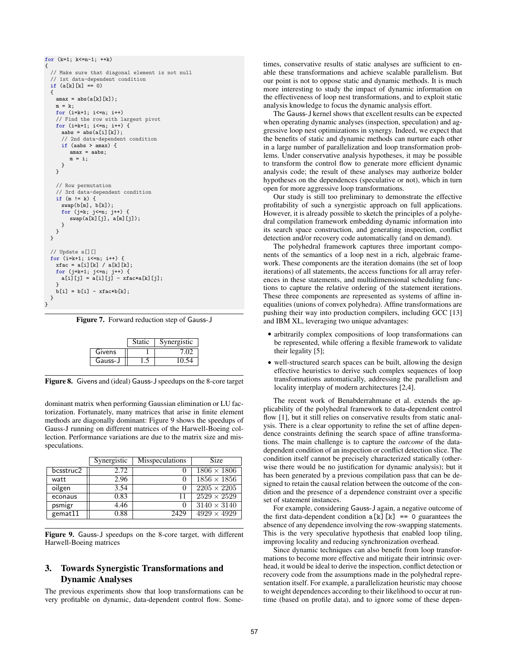```
for (k=1; k<=n-1; ++k){
 // Make sure that diagonal element is not null
 // 1st data-dependent condition
 if (a[k][k] == 0){
   \text{amax} = \text{abs}(a[k][k]);m = k;
   for (i=k+1; i<=n; i++)
    // Find the row with largest pivot
   for (i=k+1; i \le n; i++) {
     aabs = abs(a[i][k]);
     // 2nd data-dependent condition
     if (aabs > amax) {
        \text{amax} = \text{aabs}:
        m = i;}
   }
    // Row permutation
    // 3rd data-dependent condition
    if (m := k) {
     swap(b[m], b[k]);
     for (j=k; j<=n; j++) {
        swap(a[k][j], a[m][j]);
     }
   }
 }
  // Update a[][]
 for (i=k+1; i<=n; i++) {
   xfac = a[i][k] / a[k][k];for (j=k+1; j<=n; j++) {
     a[i][j] = a[i][j] - xfac*a[k][j];}
   b[i] = b[i] - xfac*b[k];}
}
```
Figure 7. Forward reduction step of Gauss-J

|         | <b>Static</b> | Synergistic |
|---------|---------------|-------------|
| Givens  |               |             |
| Gauss-J |               |             |

Figure 8. Givens and (ideal) Gauss-J speedups on the 8-core target

dominant matrix when performing Gaussian elimination or LU factorization. Fortunately, many matrices that arise in finite element methods are diagonally dominant: Figure 9 shows the speedups of Gauss-J running on different matrices of the Harwell-Boeing collection. Performance variations are due to the matrix size and misspeculations.

|           | Synergistic | <b>Misspeculations</b> | Size               |
|-----------|-------------|------------------------|--------------------|
| bcsstruc2 | 2.72        |                        | $1806 \times 1806$ |
| watt      | 2.96        |                        | $1856 \times 1856$ |
| oilgen    | 3.54        |                        | $2205 \times 2205$ |
| econaus   | 0.83        | 11                     | $2529 \times 2529$ |
| psmigr    | 4.46        |                        | $3140 \times 3140$ |
| gemat11   | 0.88        | 2429                   | $4929 \times 4929$ |

Figure 9. Gauss-J speedups on the 8-core target, with different Harwell-Boeing matrices

### 3. Towards Synergistic Transformations and Dynamic Analyses

The previous experiments show that loop transformations can be very profitable on dynamic, data-dependent control flow. Sometimes, conservative results of static analyses are sufficient to enable these transformations and achieve scalable parallelism. But our point is not to oppose static and dynamic methods. It is much more interesting to study the impact of dynamic information on the effectiveness of loop nest transformations, and to exploit static analysis knowledge to focus the dynamic analysis effort.

The Gauss-J kernel shows that excellent results can be expected when operating dynamic analyses (inspection, speculation) and aggressive loop nest optimizations in synergy. Indeed, we expect that the benefits of static and dynamic methods can nurture each other in a large number of parallelization and loop transformation problems. Under conservative analysis hypotheses, it may be possible to transform the control flow to generate more efficient dynamic analysis code; the result of these analyses may authorize bolder hypotheses on the dependences (speculative or not), which in turn open for more aggressive loop transformations.

Our study is still too preliminary to demonstrate the effective profitability of such a synergistic approach on full applications. However, it is already possible to sketch the principles of a polyhedral compilation framework embedding dynamic information into its search space construction, and generating inspection, conflict detection and/or recovery code automatically (and on demand).

The polyhedral framework captures three important components of the semantics of a loop nest in a rich, algebraic framework. These components are the iteration domains (the set of loop iterations) of all statements, the access functions for all array references in these statements, and multidimensional scheduling functions to capture the relative ordering of the statement iterations. These three components are represented as systems of affine inequalities (unions of convex polyhedra). Affine transformations are pushing their way into production compilers, including GCC [13] and IBM XL, leveraging two unique advantages:

- arbitrarily complex compositions of loop transformations can be represented, while offering a flexible framework to validate their legality [5];
- well-structured search spaces can be built, allowing the design effective heuristics to derive such complex sequences of loop transformations automatically, addressing the parallelism and locality interplay of modern architectures [2,4].

The recent work of Benabderrahmane et al. extends the applicability of the polyhedral framework to data-dependent control flow [1], but it still relies on conservative results from static analysis. There is a clear opportunity to refine the set of affine dependence constraints defining the search space of affine transformations. The main challenge is to capture the *outcome* of the datadependent condition of an inspection or conflict detection slice. The condition itself cannot be precisely characterized statically (otherwise there would be no justification for dynamic analysis); but it has been generated by a previous compilation pass that can be designed to retain the causal relation between the outcome of the condition and the presence of a dependence constraint over a specific set of statement instances.

For example, considering Gauss-J again, a negative outcome of the first data-dependent condition  $a[k]$ [k] == 0 guarantees the absence of any dependence involving the row-swapping statements. This is the very speculative hypothesis that enabled loop tiling, improving locality and reducing synchronization overhead.

Since dynamic techniques can also benefit from loop transformations to become more effective and mitigate their intrinsic overhead, it would be ideal to derive the inspection, conflict detection or recovery code from the assumptions made in the polyhedral representation itself. For example, a parallelization heuristic may choose to weight dependences according to their likelihood to occur at runtime (based on profile data), and to ignore some of these depen